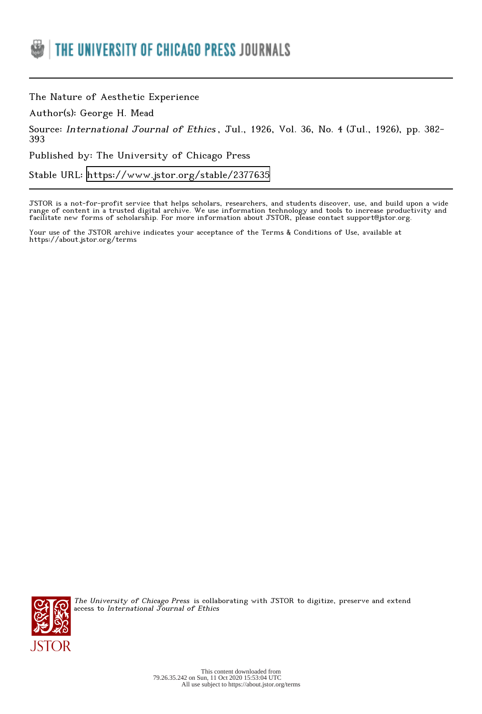## The Nature of Aesthetic Experience

Author(s): George H. Mead

Source: International Journal of Ethics, Jul., 1926, Vol. 36, No. 4 (Jul., 1926), pp. 382-393

Published by: The University of Chicago Press

Stable URL:<https://www.jstor.org/stable/2377635>

JSTOR is a not-for-profit service that helps scholars, researchers, and students discover, use, and build upon a wide range of content in a trusted digital archive. We use information technology and tools to increase productivity and facilitate new forms of scholarship. For more information about JSTOR, please contact support@jstor.org.

Your use of the JSTOR archive indicates your acceptance of the Terms & Conditions of Use, available at https://about.jstor.org/terms



The University of Chicago Press is collaborating with JSTOR to digitize, preserve and extend access to International Journal of Ethics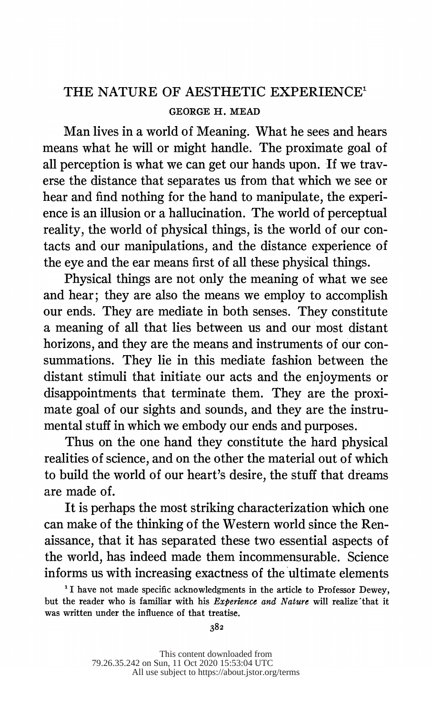## THE NATURE OF AESTHETIC EXPERIENCE<sup>1</sup> GEORGE H. MEAD

 Man lives in a world of Meaning. What he sees and hears means what he will or might handle. The proximate goal of all perception is what we can get our hands upon. If we trav erse the distance that separates us from that which we see or hear and find nothing for the hand to manipulate, the experi ence is an illusion or a hallucination. The world of perceptual reality, the world of physical things, is the world of our con tacts and our manipulations, and the distance experience of the eye and the ear means first of all these physical things.

 Physical things are not only the meaning of what we see and hear; they are also the means we employ to accomplish our ends. They are mediate in both senses. They constitute a meaning of all that lies between us and our most distant horizons, and they are the means and instruments of our con summations. They lie in this mediate fashion between the distant stimuli that initiate our acts and the enjoyments or disappointments that terminate them. They are the proxi mate goal of our sights and sounds, and they are the instru mental stuff in which we embody our ends and purposes.

 Thus on the one hand they constitute the hard physical realities of science, and on the other the material out of which to build the world of our heart's desire, the stuff that dreams are made of.

 It is perhaps the most striking characterization which one can make of the thinking of the Western world since the Ren aissance, that it has separated these two essential aspects of the world, has indeed made them incommensurable. Science informs us with increasing exactness of the 'ultimate elements

<sup>1</sup>I have not made specific acknowledgments in the article to Professor Dewey, but the reader who is familiar with his Experience and Nature will realize that it was written under the influence of that treatise.

382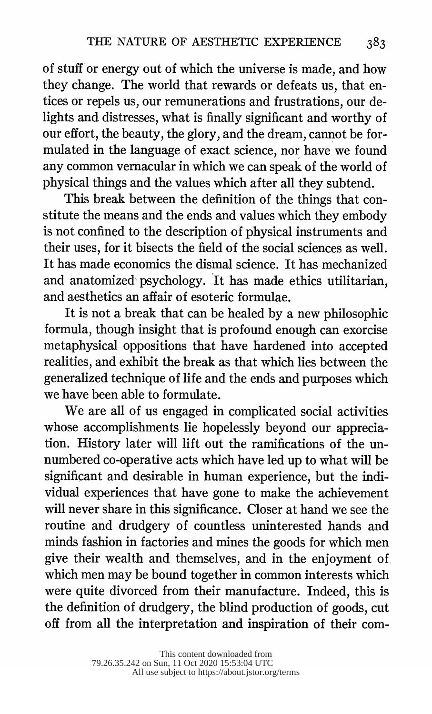of stuff or energy out of which the universe is made, and how they change. The world that rewards or defeats us, that en tices or repels us, our remunerations and frustrations, our de lights and distresses, what is finally significant and worthy of our effort, the beauty, the glory, and the dream, cannot be for mulated in the language of exact science, nor have we found any common vernacular in which we can speak of the world of physical things and the values which after all they subtend.

 This break between the definition of the things that con stitute the means and the ends and values which they embody is not confined to the description of physical instruments and their uses, for it bisects the field of the social sciences as well. It has made economics the dismal science. It has mechanized and anatomized' psychology. It has made ethics utilitarian, and-aesthetics an affair of esoteric formulae.

 It is not a break that can be healed by a new philosophic formula, though insight that is profound enough can exorcise metaphysical oppositions that have hardened into accepted realities, and exhibit the break as that which lies between the generalized technique of life and the ends and purposes which we have been able to formulate.

 We are all of us engaged in complicated social activities whose accomplishments lie hopelessly beyond our apprecia tion. History later will lift out the ramifications of the un numbered co-operative acts which have led up to what will be significant and desirable in human experience, but the indi vidual experiences that have gone to make the achievement will never share in this significance. Closer at hand we see the routine and drudgery of countless uninterested hands and minds fashion in factories and mines the goods for which men give their wealth and themselves, and in the enjoyment of which men may be bound together in common interests which were quite divorced from their manufacture. Indeed, this is the definition of drudgery, the blind production of goods, cut off from all the interpretation and inspiration of their com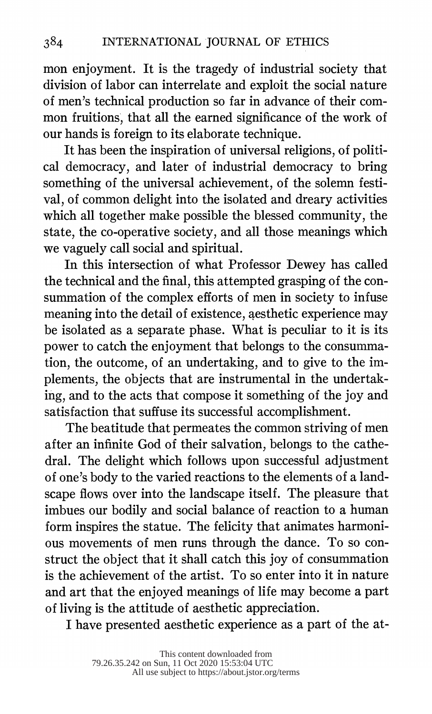mon enjoyment. It is the tragedy of industrial society that division of labor can interrelate and exploit the social nature of men's technical production so far in advance of their com mon fruitions, that all the earned significance of the work of our hands is foreign to its elaborate technique.

 It has been the inspiration of universal religions, of politi cal democracy, and later of industrial democracy to bring something of the universal achievement, of the solemn festi val, of common delight into the isolated and dreary activities which all together make possible the blessed community, the state, the co-operative society, and all those meanings which we vaguely call social and spiritual.

 In this intersection of what Professor Dewey has called the technical and the final, this attempted grasping of the con summation of the complex efforts of men in society to infuse meaning into the detail of existence, aesthetic experience may be isolated as a separate phase. What is peculiar to it is its power to catch the enjoyment that belongs to the consumma tion, the outcome, of an undertaking, and to give to the im plements, the objects that are instrumental in the undertak ing, and to the acts that compose it something of the joy and satisfaction that suffuse its successful accomplishment.

 The beatitude that permeates the common striving of men after an infinite God of their salvation, belongs to the cathe dral. The delight which follows upon successful adjustment of one's body to the varied reactions to the elements of a land scape flows over into the landscape itself. The pleasure that imbues our bodily and social balance of reaction to a human form inspires the statue. The felicity that animates harmoni ous movements of men runs through the dance. To so con struct the object that it shall catch this joy of consummation is the achievement of the artist. To so enter into it in nature and art that the enjoyed meanings of life may become a part of living is the attitude of aesthetic appreciation.

I have presented aesthetic experience as a part of the at-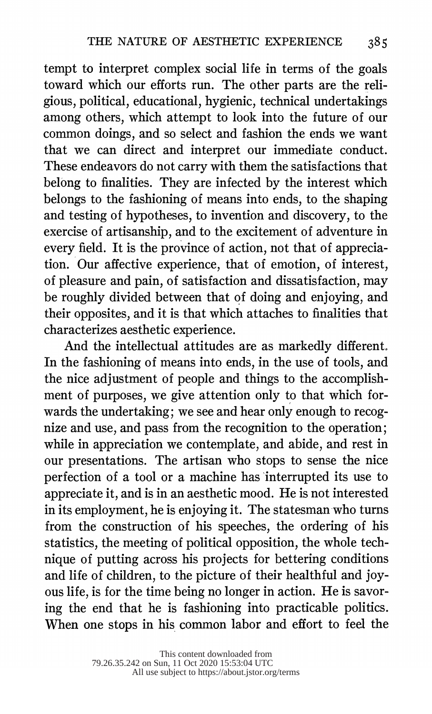tempt to interpret complex social life in terms of the goals toward which our efforts run. The other parts are the reli gious, political, educational, hygienic, technical undertakings among others, which attempt to look into the future of our common doings, and so select and fashion the ends we want that we can direct and interpret our immediate conduct. These endeavors do not carry with them the satisfactions that belong to finalities. They are infected by the interest which belongs to the fashioning of means into ends, to the shaping and testing of hypotheses, to invention and discovery, to the exercise of artisanship, and to the excitement of adventure in every field. It is the province of action, not that of apprecia tion. Our affective experience, that of emotion, of interest, of pleasure and pain, of satisfaction and dissatisfaction, may be roughly divided between that of doing and enjoying, and their opposites, and it is that which attaches to finalities that characterizes aesthetic experience.

 And the intellectual attitudes are as markedly different. In the fashioning of means into ends, in the use of tools, and the nice adjustment of people and things to the accomplish ment of purposes, we give attention only to that which for wards the undertaking; we see and hear only enough to recog nize and use, and pass from the recognition to the operation; while in appreciation we contemplate, and abide, and rest in our presentations. The artisan who stops to sense the nice perfection of a tool or a machine has 'interrupted its use to appreciate it, and is in an aesthetic mood. He is not interested in its employment, he is enjoying it. The statesman who turns from the construction of his speeches, the ordering of his statistics, the meeting of political opposition, the whole tech nique of putting across his projects for bettering conditions and life of children, to the picture of their healthful and joy ous life, is for the time being no longer in action. He is savor ing the end that he is fashioning into practicable politics. When one stops in his common labor and effort to feel the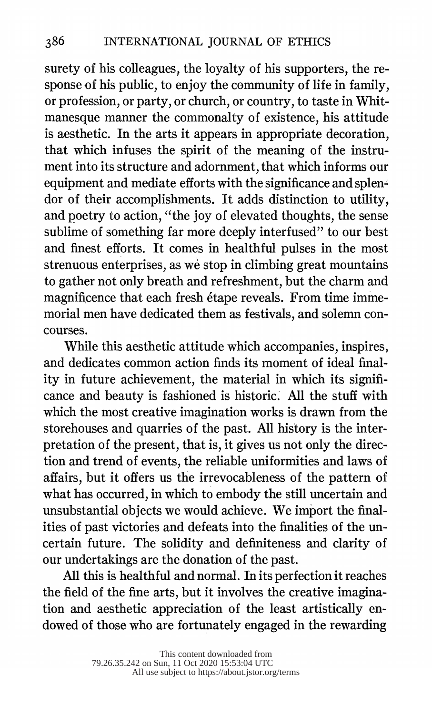surety of his colleagues, the loyalty of his supporters, the re sponse of his public, to enjoy the community of life in family, or profession, or party, or church, or country, to taste in Whit manesque manner the commonalty of existence, his attitude is aesthetic. In the arts it appears in appropriate decoration, that which infuses the spirit of the meaning of the instru ment into its structure and adornment, that which informs our equipment and mediate efforts with the significance and splen dor of their accomplishments. It adds distinction to utility, and poetry to action, "the joy of elevated thoughts, the sense sublime of something far more deeply interfused" to our best and finest efforts. It comes in healthful pulses in the most strenuous enterprises, as we stop in climbing great mountains to gather not only breath and refreshment, but the charm and magnificence that each fresh étape reveals. From time imme morial men have dedicated them as festivals, and solemn con courses.

 While this aesthetic attitude which accompanies, inspires, and dedicates common action finds its moment of ideal final ity in future achievement, the material in which its signifi cance and beauty is fashioned is historic. All the stuff with which the most creative imagination works is drawn from the storehouses and quarries of the past. All history is the inter pretation of the present, that is, it gives us not only the direc tion and trend of events, the reliable uniformities and laws of affairs, but it offers us the irrevocableness of the pattern of what has occurred, in which to embody the still uncertain and unsubstantial objects we would achieve. We import the final ities of past victories and defeats into the finalities of the un certain future. The solidity and definiteness and clarity of our undertakings are the donation of the past.

 All this is healthful and normal. In its perfection it reaches the field of the fine arts, but it involves the creative imagina tion and aesthetic appreciation of the least artistically en dowed of those who are fortunately engaged in the rewarding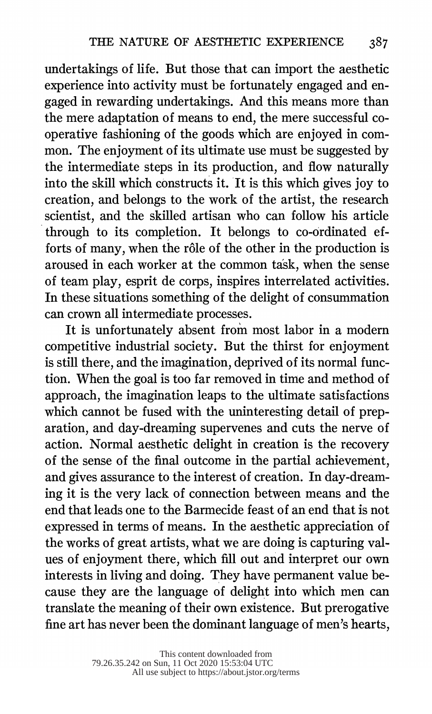undertakings of life. But those that can import the aesthetic experience into activity must be fortunately engaged and en gaged in rewarding undertakings. And this means more than the mere adaptation of means to end, the mere successful co operative fashioning of the goods which are enjoyed in com mon. The enjoyment of its ultimate use must be suggested by the intermediate steps in its production, and flow naturally into the skill which constructs it. It is this which gives joy to creation, and belongs to the work of the artist, the research scientist, and the skilled artisan who can follow his article through to its completion. It belongs to co-ordinated ef forts of many, when the rôle of the other in the production is aroused in each worker at the common task, when the sense of team play, esprit de corps, inspires interrelated activities. In these situations something of the delight of consummation can crown all intermediate processes.

 It is unfortunately absent from most labor in a modern competitive industrial society. But the thirst for enjoyment is still there, and the imagination, deprived of its normal func tion. When the goal is too far removed in time and method of approach, the imagination leaps to the ultimate satisfactions which cannot be fused with the uninteresting detail of prep aration, and day-dreaming supervenes and cuts the nerve of action. Normal aesthetic delight in creation is the recovery of the sense of the final outcome in the partial achievement, and gives assurance to the interest of creation. In day-dream ing it is the very lack of connection between means and the end that leads one to the Barmecide feast of an end that is not expressed in terms of means. In the aesthetic appreciation of the works of great artists, what we are doing is capturing val ues of enjoyment there, which fill out and interpret our own interests in living and doing. They have permanent value be cause they are the language of delight into which men can translate the meaning of their own existence. But prerogative fine art has never been the dominant language of men's hearts,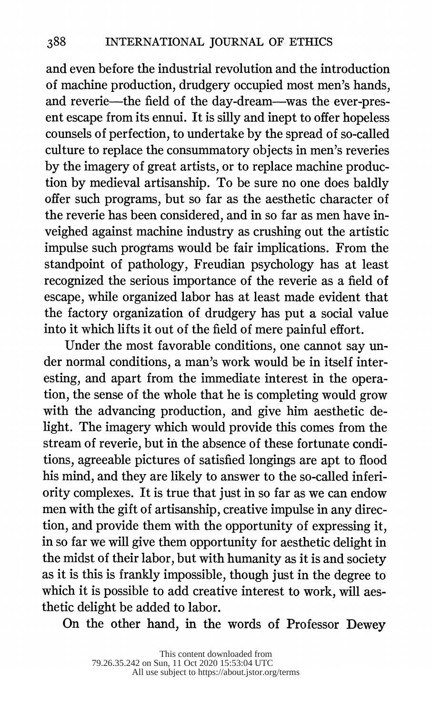and even before the industrial revolution and the introduction of machine production, drudgery occupied most men's hands, and reverie-the field of the day-dream--was the ever-pres ent escape from its ennui. It is silly and inept to offer hopeless counsels of perfection, to undertake by the spread of so-called culture to replace the consummatory objects in men's reveries by the imagery of great artists, or to replace machine produc tion by medieval artisanship. To be sure no one does baldly offer such programs, but so far as the aesthetic character of the reverie has been considered, and in so far as men have in veighed against machine industry as crushing out the artistic impulse such programs would be fair implications. From the standpoint of pathology, Freudian psychology has at least recognized the serious importance of the reverie as a field of escape, while organized labor has at least made evident that the factory organization of drudgery has put a social value into it which lifts it out of the field of mere painful effort.

 Under the most favorable conditions, one cannot say un der normal conditions, a man's work would be in itself inter esting, and apart from the immediate interest in the opera tion, the sense of the whole that he is completing would grow with the advancing production, and give him aesthetic de light. The imagery which would provide this comes from the stream of reverie, but in the absence of these fortunate condi tions, agreeable pictures of satisfied longings are apt to flood his mind, and they are likely to answer to the so-called inferi ority complexes. It is true that just in so far as we can endow men with the gift of artisanship, creative impulse in any direc tion, and provide them with the opportunity of expressing it, in so far we will give them opportunity for aesthetic delight in the midst of their labor, but with humanity as it is and society as it is this is frankly impossible, though just in the degree to which it is possible to add creative interest to work, will aesthetic delight be added to labor.

On the other hand, in the words of Professor Dewey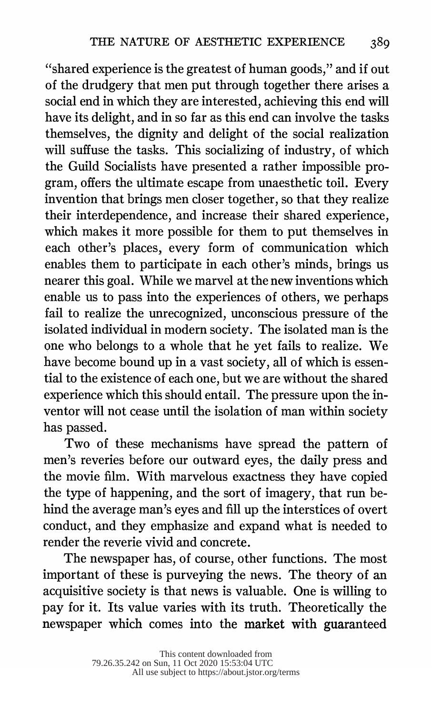"shared experience is the greatest of human goods," and if out of the drudgery that men put through together there arises a social end in which they are interested, achieving this end will have its delight, and in so far as this end can involve the tasks themselves, the dignity and delight of the social realization will suffuse the tasks. This socializing of industry, of which the Guild Socialists have presented a rather impossible pro gram, offers the ultimate escape from unaesthetic toil. Every invention that brings men closer together, so that they realize their interdependence, and increase their shared experience, which makes it more possible for them to put themselves in each other's places, every form of communication which enables them to participate in each other's minds, brings us nearer this goal. While we marvel at the new inventions which enable us to pass into the experiences of others, we perhaps fail to realize the unrecognized, unconscious pressure of the isolated individual in modern society. The isolated man is the one who belongs to a whole that he yet fails to realize. We have become bound up in a vast society, all of which is essen tial to the existence of each one, but we are without the shared experience which this should entail. The pressure upon the in ventor will not cease until the isolation of man within society has passed.

 Two of these mechanisms have spread the pattern of men's reveries before our outward eyes, the daily press and the movie film. With marvelous exactness they have copied the type of happening, and the sort of imagery, that run be hind the average man's eyes and fill up the interstices of overt conduct, and they emphasize and expand what is needed to render the reverie vivid and concrete.

 The newspaper has, of course, other functions. The most important of these is purveying the news. The theory of an acquisitive society is that news is valuable. One is willing to pay for it. Its value varies with its truth. Theoretically the newspaper which comes into the market with guaranteed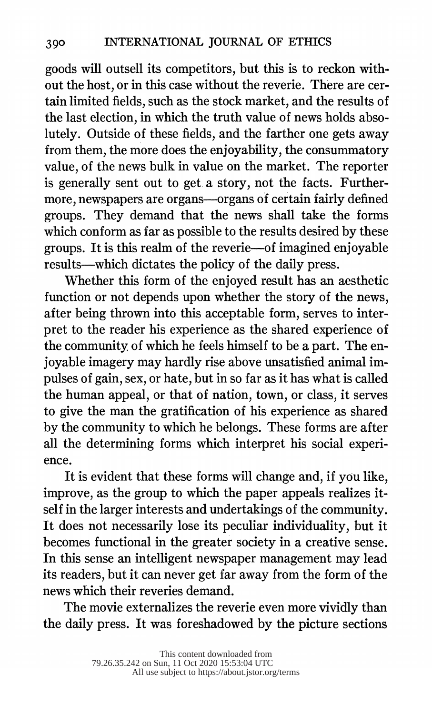goods will outsell its competitors, but this is to reckon with out the host, or in this case without the reverie. There are cer tain limited fields, such as the stock market, and the results of the last election, in which the truth value of news holds abso lutely. Outside of these fields, and the farther one gets away from them, the more does the enjoyability, the consummatory value, of the news bulk in value on the market. The reporter is generally sent out to get. a story, not the facts. Further more, newspapers are organs-organs of certain fairly defined groups. They demand that the news shall take the forms which conform as far as possible to the results desired by these groups. It is this realm of the reverie—of imagined enjoyable results-which dictates the policy of the daily press.

 Whether this form of the enjoyed result has an aesthetic function or not depends upon whether the story of the news, after being thrown into this acceptable form, serves to inter pret to the reader his experience as the shared experience of the community of which he feels himself to be a part. The en joyable imagery may hardly rise above unsatisfied animal im pulses of gain, sex, or hate, but in so far as it has what is called the human appeal, or that of nation, town, or class, it serves to give the man the gratification of his experience as shared by the community to which he belongs. These forms are after all the determining forms which interpret his social experi ence.

 It is evident that these forms will change and, if you like, improve, as the group to which the paper appeals realizes it self in the larger interests and undertakings of the community. It does not necessarily lose its peculiar individuality, but it becomes functional in the greater society in a creative sense. In this sense an intelligent newspaper management may lead its readers, but it can never get far away from the form of the news which their reveries demand.

 The movie externalizes the reverie even more vividly than the daily press. It was foreshadowed by the picture sections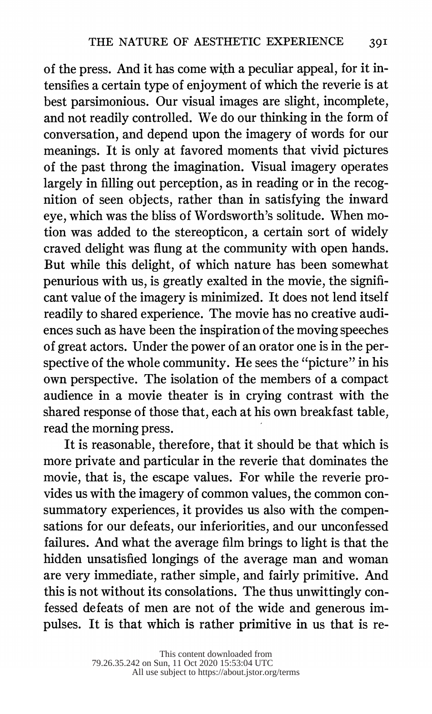of the press. And it has come with a peculiar appeal, for it in tensifies a certain type of enjoyment of which the reverie is at best parsimonious. Our visual images are slight, incomplete, and not readily controlled. We do our thinking in the form of conversation, and depend upon the imagery of words for our meanings. It is only at favored moments that vivid pictures of the past throng the imagination. Visual imagery operates largely in filling out perception, as in reading or in the recog nition of seen objects, rather than in satisfying the inward eye, which was the bliss of Wordsworth's solitude. When mo tion was added to the stereopticon, a certain sort of widely craved delight was flung at the community with open hands. But while this delight, of which nature has been somewhat penurious with us, is greatly exalted in the movie, the signifi cant value of the imagery is minimized. It does not lend itself readily to shared experience. The movie has no creative audi ences such as have been the inspiration of the moving speeches of great actors. Under the power of an orator one is in the per spective of the whole community. He sees the "picture" in his own perspective. The isolation of the members of a compact audience in a movie theater is in crying contrast with the shared response of those that, each at his own breakfast table, read the morning press.

 It is reasonable, therefore, that it should be that which is more private and particular in the reverie that dominates the movie, that is, the escape values. For while the reverie pro vides us with the imagery of common values, the common con summatory experiences, it provides us also with the compen sations for our defeats, our inferiorities, and our unconfessed failures. And what the average film brings to light is that the hidden unsatisfied longings of the average man and woman are very immediate, rather simple, and fairly primitive. And this is not without its consolations. The thus unwittingly con fessed defeats of men are not of the wide and generous im pulses. It is that which is rather primitive in us that is re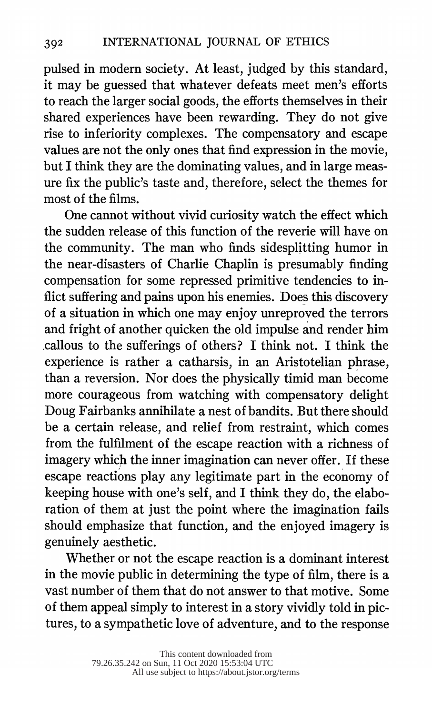pulsed in modern society. At least, judged by this standard, it may be guessed that whatever defeats meet men's efforts to reach the larger social goods, the efforts themselves in their shared experiences have been rewarding. They do not give rise to inferiority complexes. The compensatory and escape values are not the only ones that find expression in the movie, but I think they are the dominating values, and in large meas ure fix the public's taste and, therefore, select the themes for most of the films.

 One cannot without vivid curiosity watch the effect which the sudden release of this function of the reverie will have on the community. The man who finds sidesplitting humor in the near-disasters of Charlie Chaplin is presumably finding compensation for some repressed primitive tendencies to in flict suffering and pains upon his enemies. Does this discovery of a situation in which one may enjoy unreproved the terrors and fright of another quicken the old impulse and render him callous to the sufferings of others? I think not. I think the experience is rather a catharsis, in an Aristotelian phrase, than a reversion. Nor does the physically timid man become more courageous from watching with compensatory delight Doug Fairbanks annihilate a nest of bandits. But there should be a certain release, and relief from restraint, which comes from the fulfilment of the escape reaction with a richness of imagery which the inner imagination can never offer. If these escape reactions play any legitimate part in the economy of keeping house with one's self, and I think they do, the elabo ration of them at just the point where the imagination fails should emphasize that function, and the enjoyed imagery is genuinely aesthetic.

 Whether or not the escape reaction is a dominant interest in the movie public in determining the type of film, there is a vast number of them that do not answer to that motive. Some of them appeal simply to interest in a story vividly told in pic tures, to a sympathetic love of adventure, and to the response